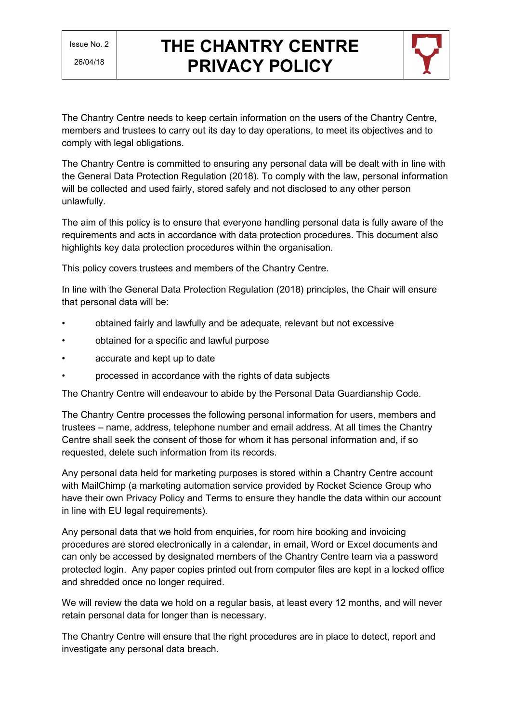

The Chantry Centre needs to keep certain information on the users of the Chantry Centre, members and trustees to carry out its day to day operations, to meet its objectives and to comply with legal obligations.

The Chantry Centre is committed to ensuring any personal data will be dealt with in line with the General Data Protection Regulation (2018). To comply with the law, personal information will be collected and used fairly, stored safely and not disclosed to any other person unlawfully.

The aim of this policy is to ensure that everyone handling personal data is fully aware of the requirements and acts in accordance with data protection procedures. This document also highlights key data protection procedures within the organisation.

This policy covers trustees and members of the Chantry Centre.

In line with the General Data Protection Regulation (2018) principles, the Chair will ensure that personal data will be:

- obtained fairly and lawfully and be adequate, relevant but not excessive
- obtained for a specific and lawful purpose
- accurate and kept up to date
- processed in accordance with the rights of data subjects

The Chantry Centre will endeavour to abide by the Personal Data Guardianship Code.

The Chantry Centre processes the following personal information for users, members and trustees – name, address, telephone number and email address. At all times the Chantry Centre shall seek the consent of those for whom it has personal information and, if so requested, delete such information from its records.

Any personal data held for marketing purposes is stored within a Chantry Centre account with MailChimp (a marketing automation service provided by Rocket Science Group who have their own Privacy Policy and Terms to ensure they handle the data within our account in line with EU legal requirements).

Any personal data that we hold from enquiries, for room hire booking and invoicing procedures are stored electronically in a calendar, in email, Word or Excel documents and can only be accessed by designated members of the Chantry Centre team via a password protected login. Any paper copies printed out from computer files are kept in a locked office and shredded once no longer required.

We will review the data we hold on a regular basis, at least every 12 months, and will never retain personal data for longer than is necessary.

The Chantry Centre will ensure that the right procedures are in place to detect, report and investigate any personal data breach.